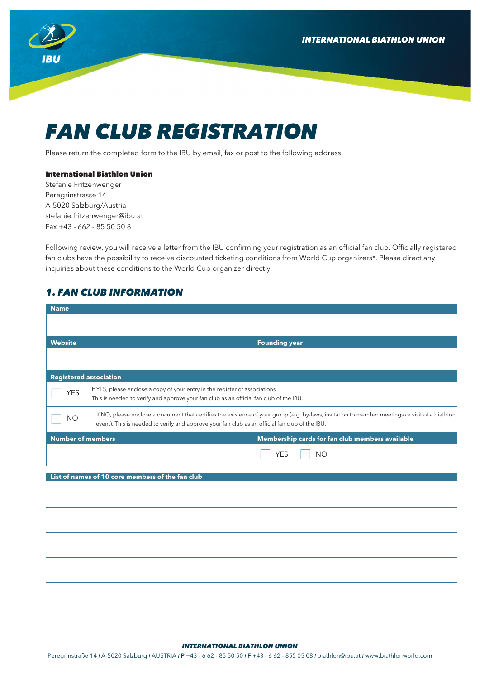**INTERNATIONAL BIATHLON UNION** 



# *FAN CLUB REGISTRATION*

Please return the completed form to the IBU by email, fax or post to the following address:

### International Biathlon Union

Stefanie Fritzenwenger Peregrinstrasse 14 A-5020 Salzburg/Austria stefanie.fritzenwenger@ibu.at Fax +43 - 662 - 85 50 50 8

Following review, you will receive a letter from the IBU confirming your registration as an official fan club. Officially registered fan clubs have the possibility to receive discounted ticketing conditions from World Cup organizers\*. Please direct any inquiries about these conditions to the World Cup organizer directly.

## *1. FAN CLUB INFORMATION*

| <b>Name</b>                                                                                                                                                                                                                                                    |                                                 |  |
|----------------------------------------------------------------------------------------------------------------------------------------------------------------------------------------------------------------------------------------------------------------|-------------------------------------------------|--|
|                                                                                                                                                                                                                                                                |                                                 |  |
| <b>Website</b>                                                                                                                                                                                                                                                 | <b>Founding year</b>                            |  |
|                                                                                                                                                                                                                                                                |                                                 |  |
|                                                                                                                                                                                                                                                                |                                                 |  |
| <b>Registered association</b>                                                                                                                                                                                                                                  |                                                 |  |
| If YES, please enclose a copy of your entry in the register of associations.<br><b>YES</b><br>This is needed to verify and approve your fan club as an official fan club of the IBU.                                                                           |                                                 |  |
| If NO, please enclose a document that certifies the existence of your group (e.g. by-laws, invitation to member meetings or visit of a biathlon<br><b>NO</b><br>event). This is needed to verify and approve your fan club as an official fan club of the IBU. |                                                 |  |
| Number of members                                                                                                                                                                                                                                              | Membership cards for fan club members available |  |
|                                                                                                                                                                                                                                                                | <b>YES</b><br><b>NO</b>                         |  |
| List of names of 10 core members of the fan club                                                                                                                                                                                                               |                                                 |  |
|                                                                                                                                                                                                                                                                |                                                 |  |
|                                                                                                                                                                                                                                                                |                                                 |  |
|                                                                                                                                                                                                                                                                |                                                 |  |
|                                                                                                                                                                                                                                                                |                                                 |  |
|                                                                                                                                                                                                                                                                |                                                 |  |
|                                                                                                                                                                                                                                                                |                                                 |  |
|                                                                                                                                                                                                                                                                |                                                 |  |
|                                                                                                                                                                                                                                                                |                                                 |  |
|                                                                                                                                                                                                                                                                |                                                 |  |

#### *INTERNATIONAL BIATHLON UNION*

Peregrinstraße 14 *I* A-5020 Salzburg *I* AUSTRIA *I* P +43 - 6 62 - 85 50 50 *I* F +43 - 6 62 - 855 05 08 *I* biathlon@ibu.at *I* www.biathlonworld.com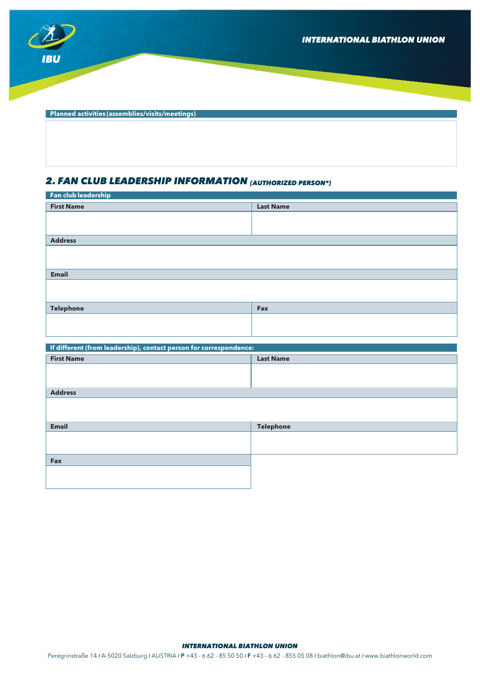

 **Planned activities (assemblies/visits/meetings)** 

## *2. FAN CLUB LEADERSHIP INFORMATION (AUTHORIZED PERSON\*)*

| Fan club leadership                                                |                  |  |
|--------------------------------------------------------------------|------------------|--|
| <b>First Name</b>                                                  | <b>Last Name</b> |  |
|                                                                    |                  |  |
|                                                                    |                  |  |
|                                                                    |                  |  |
| <b>Address</b>                                                     |                  |  |
|                                                                    |                  |  |
|                                                                    |                  |  |
| <b>Email</b>                                                       |                  |  |
|                                                                    |                  |  |
|                                                                    |                  |  |
| <b>Telephone</b>                                                   | Fax              |  |
|                                                                    |                  |  |
|                                                                    |                  |  |
|                                                                    |                  |  |
| If different (from leadership), contact person for correspondence: |                  |  |
| <b>First Name</b>                                                  | <b>Last Name</b> |  |
|                                                                    |                  |  |
|                                                                    |                  |  |
| <b>Address</b>                                                     |                  |  |
|                                                                    |                  |  |
|                                                                    |                  |  |
|                                                                    |                  |  |
| <b>Email</b>                                                       | <b>Telephone</b> |  |

| Email | Telephone |
|-------|-----------|
|       |           |
|       |           |
|       |           |
| Fax   |           |
|       |           |
|       |           |
|       |           |